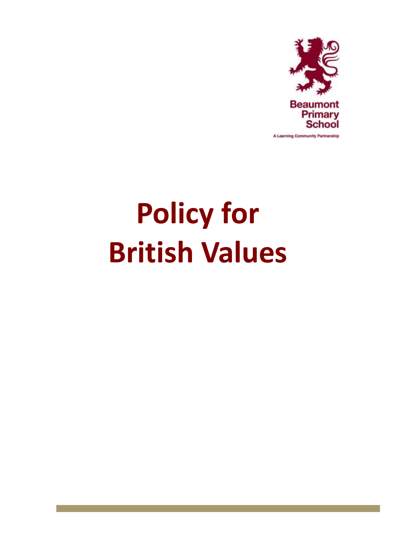

# **Policy for British Values**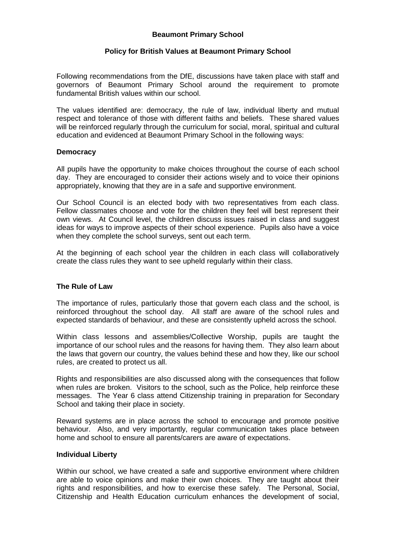# **Beaumont Primary School**

# **Policy for British Values at Beaumont Primary School**

Following recommendations from the DfE, discussions have taken place with staff and governors of Beaumont Primary School around the requirement to promote fundamental British values within our school.

The values identified are: democracy, the rule of law, individual liberty and mutual respect and tolerance of those with different faiths and beliefs. These shared values will be reinforced regularly through the curriculum for social, moral, spiritual and cultural education and evidenced at Beaumont Primary School in the following ways:

## **Democracy**

All pupils have the opportunity to make choices throughout the course of each school day. They are encouraged to consider their actions wisely and to voice their opinions appropriately, knowing that they are in a safe and supportive environment.

Our School Council is an elected body with two representatives from each class. Fellow classmates choose and vote for the children they feel will best represent their own views. At Council level, the children discuss issues raised in class and suggest ideas for ways to improve aspects of their school experience. Pupils also have a voice when they complete the school surveys, sent out each term.

At the beginning of each school year the children in each class will collaboratively create the class rules they want to see upheld regularly within their class.

# **The Rule of Law**

The importance of rules, particularly those that govern each class and the school, is reinforced throughout the school day. All staff are aware of the school rules and expected standards of behaviour, and these are consistently upheld across the school.

Within class lessons and assemblies/Collective Worship, pupils are taught the importance of our school rules and the reasons for having them. They also learn about the laws that govern our country, the values behind these and how they, like our school rules, are created to protect us all.

Rights and responsibilities are also discussed along with the consequences that follow when rules are broken. Visitors to the school, such as the Police, help reinforce these messages. The Year 6 class attend Citizenship training in preparation for Secondary School and taking their place in society.

Reward systems are in place across the school to encourage and promote positive behaviour. Also, and very importantly, regular communication takes place between home and school to ensure all parents/carers are aware of expectations.

### **Individual Liberty**

Within our school, we have created a safe and supportive environment where children are able to voice opinions and make their own choices. They are taught about their rights and responsibilities, and how to exercise these safely. The Personal, Social, Citizenship and Health Education curriculum enhances the development of social,